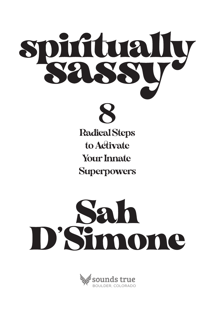



**Radical Steps** to Activate **Your Innate Superpowers** 

# D'Simone

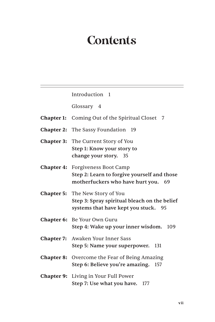# **Contents**

|                   | Introduction 1                                                                                                          |
|-------------------|-------------------------------------------------------------------------------------------------------------------------|
|                   | Glossary 4                                                                                                              |
| <b>Chapter 1:</b> | Coming Out of the Spiritual Closet<br>- 7                                                                               |
| <b>Chapter 2:</b> | The Sassy Foundation<br>19                                                                                              |
| <b>Chapter 3:</b> | The Current Story of You<br>Step 1: Know your story to<br>change your story.<br>- 35                                    |
| <b>Chapter 4:</b> | <b>Forgiveness Boot Camp</b><br>Step 2: Learn to forgive yourself and those<br>motherfuckers who have hurt you.<br>- 69 |
| <b>Chapter 5:</b> | The New Story of You<br>Step 3: Spray spiritual bleach on the belief<br>systems that have kept you stuck. 95            |
| <b>Chapter 6:</b> | Be Your Own Guru<br>Step 4: Wake up your inner wisdom.<br>109                                                           |
| <b>Chapter 7:</b> | Awaken Your Inner Sass<br>Step 5: Name your superpower.<br>131                                                          |
| <b>Chapter 8:</b> | Overcome the Fear of Being Amazing<br>Step 6: Believe you're amazing.<br>157                                            |
|                   | <b>Chapter 9:</b> Living in Your Full Power<br>Step 7: Use what you have.<br>- 177                                      |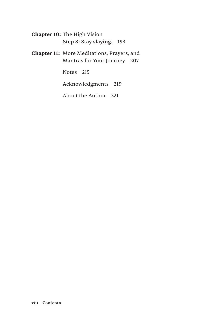**Chapter 10:** The High Vision Step 8: Stay slaying. 193

**Chapter 11:** More Meditations, Prayers, and Mantras for Your Journey 207

Notes 215

Acknowledgments 219

About the Author 221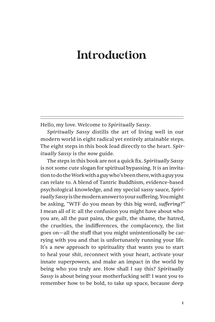### Introduction

Hello, my love. Welcome to *Spiritually Sassy*.

*Spiritually Sassy* distills the art of living well in our modern world in eight radical yet entirely attainable steps. The eight steps in this book lead directly to the heart. *Spiritually Sassy* is the *now* guide.

The steps in this book are not a quick fix. *Spiritually Sassy* is not some cute slogan for spiritual bypassing. It is an invitation to do the Work with a guy who's been there, with a guy you can relate to. A blend of Tantric Buddhism, evidence-based psychological knowledge, and my special sassy sauce, *Spiritually Sassy* is the modern answer to your sufering. You might be asking, "WTF do you mean by this big word, *sufering*?" I mean all of it: all the confusion you might have about who you are, all the past pains, the guilt, the shame, the hatred, the cruelties, the indiferences, the complacency, the list goes on—all the stuff that you might unintentionally be carrying with you and that is unfortunately running your life. It's a new approach to spirituality that wants you to start to heal your shit, reconnect with your heart, activate your innate superpowers, and make an impact in the world by being who you truly are. How shall I say this? *Spiritually Sassy* is about being your motherfucking self! I want you to remember how to be bold, to take up space, because deep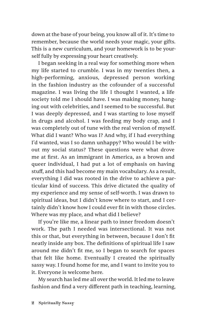down at the base of your being, you know all of it. It's time to remember, because the world needs your magic, your gifts. This is a new curriculum, and your homework is to be yourself fully by expressing your heart creatively.

I began seeking in a real way for something more when my life started to crumble. I was in my twenties then, a high-performing, anxious, depressed person working in the fashion industry as the cofounder of a successful magazine. I was living the life I thought I wanted, a life society told me I should have. I was making money, hanging out with celebrities, and I seemed to be successful. But I was deeply depressed, and I was starting to lose myself in drugs and alcohol. I was feeding my body crap, and I was completely out of tune with the real version of myself. What did I want? Who was I? And why, if I had everything I'd wanted, was I so damn unhappy? Who would I be without my social status? These questions were what drove me at first. As an immigrant in America, as a brown and queer individual, I had put a lot of emphasis on having stuf, and this had become my main vocabulary. As a result, everything I did was rooted in the drive to achieve a particular kind of success. This drive dictated the quality of my experience and my sense of self-worth. I was drawn to spiritual ideas, but I didn't know where to start, and I certainly didn't know how I could ever fit in with those circles. Where was my place, and what did I believe?

If you're like me, a linear path to inner freedom doesn't work. The path I needed was intersectional. It was not this or that, but everything in between, because I don't fit neatly inside any box. The definitions of spiritual life I saw around me didn't fit me, so I began to search for spaces that felt like home. Eventually I created the spiritually sassy way. I found home for me, and I want to invite you to it. Everyone is welcome here.

My search has led me all over the world. It led me to leave fashion and find a very diferent path in teaching, learning,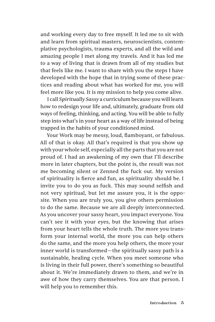and working every day to free myself. It led me to sit with and learn from spiritual masters, neuroscientists, contemplative psychologists, trauma experts, and all the wild and amazing people I met along my travels. And it has led me to a way of living that is drawn from all of my studies but that feels like me. I want to share with you the steps I have developed with the hope that in trying some of these practices and reading about what has worked for me, you will feel more like you. It is my mission to help you come alive.

I call *Spiritually Sassy* a curriculum because you will learn how to redesign your life and, ultimately, graduate from old ways of feeling, thinking, and acting. You will be able to fully step into what's in your heart as a way of life instead of being trapped in the habits of your conditioned mind.

Your Work may be messy, loud, flamboyant, or fabulous. All of that is okay. All that's required is that you show up with your whole self, especially all the parts that you are not proud of. I had an awakening of my own that I'll describe more in later chapters, but the point is, the result was not me becoming silent or Zenned the fuck out. My version of spirituality is fierce and fun, as spirituality should be. I invite you to do you as fuck. This may sound selfish and not very spiritual, but let me assure you, it is the opposite. When you are truly you, you give others permission to do the same. Because we are all deeply interconnected. As you uncover your sassy heart, you impact everyone. You can't see it with your eyes, but the knowing that arises from your heart tells the whole truth. The more you transform your internal world, the more you can help others do the same, and the more you help others, the more your inner world is transformed—the spiritually sassy path is a sustainable, healing cycle. When you meet someone who is living in their full power, there's something so beautiful about it. We're immediately drawn to them, and we're in awe of how they carry themselves. You are that person. I will help you to remember this.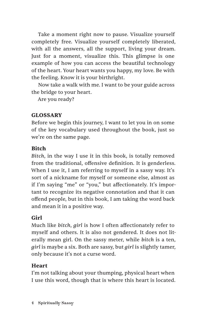Take a moment right now to pause. Visualize yourself completely free. Visualize yourself completely liberated, with all the answers, all the support, living your dream. Just for a moment, visualize this. This glimpse is one example of how you can access the beautiful technology of the heart. Your heart wants you happy, my love. Be with the feeling. Know it is your birthright.

Now take a walk with me. I want to be your guide across the bridge to your heart.

Are you ready?

#### **GLOSSARY**

Before we begin this journey, I want to let you in on some of the key vocabulary used throughout the book, just so we're on the same page.

#### **Bitch**

*Bitch*, in the way I use it in this book, is totally removed from the traditional, offensive definition. It is genderless. When I use it, I am referring to myself in a sassy way. It's sort of a nickname for myself or someone else, almost as if I'm saying "me" or "you," but afectionately. It's important to recognize its negative connotation and that it can ofend people, but in this book, I am taking the word back and mean it in a positive way.

#### **Girl**

Much like *bitch*, *girl* is how I often afectionately refer to myself and others. It is also not gendered. It does not literally mean girl. On the sassy meter, while *bitch* is a ten, *girl* is maybe a six. Both are sassy, but *girl* is slightly tamer, only because it's not a curse word.

#### **Heart**

I'm not talking about your thumping, physical heart when I use this word, though that is where this heart is located.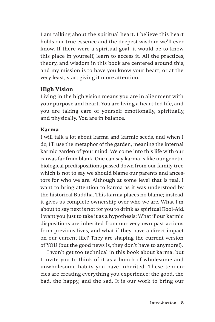I am talking about the spiritual heart. I believe this heart holds our true essence and the deepest wisdom we'll ever know. If there were a spiritual goal, it would be to know this place in yourself, learn to access it. All the practices, theory, and wisdom in this book are centered around this, and my mission is to have you know your heart, or at the very least, start giving it more attention.

#### **High Vision**

Living in the high vision means you are in alignment with your purpose and heart. You are living a heart-led life, and you are taking care of yourself emotionally, spiritually, and physically. You are in balance.

#### **Karma**

I will talk a lot about karma and karmic seeds, and when I do, I'll use the metaphor of the garden, meaning the internal karmic garden of your mind. We come into this life with our canvas far from blank. One can say karma is like our genetic, biological predispositions passed down from our family tree, which is not to say we should blame our parents and ancestors for who we are. Although at some level that is real, I want to bring attention to karma as it was understood by the historical Buddha. This karma places no blame; instead, it gives us complete ownership over who we are. What I'm about to say next is not for you to drink as spiritual Kool-Aid. I want you just to take it as a hypothesis: What if our karmic dispositions are inherited from our very own past actions from previous lives, and what if they have a direct impact on our current life? They are shaping the current version of YOU (but the good news is, they don't have to anymore!).

I won't get too technical in this book about karma, but I invite you to think of it as a bunch of wholesome and unwholesome habits you have inherited. These tendencies are creating everything you experience: the good, the bad, the happy, and the sad. It is our work to bring our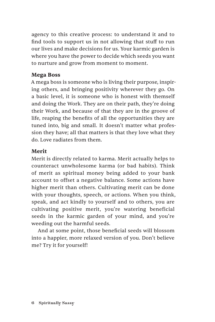agency to this creative process: to understand it and to find tools to support us in not allowing that stuff to run our lives and make decisions for us. Your karmic garden is where you have the power to decide which seeds you want to nurture and grow from moment to moment.

#### **Mega Boss**

A mega boss is someone who is living their purpose, inspiring others, and bringing positivity wherever they go. On a basic level, it is someone who is honest with themself and doing the Work. They are on their path, they're doing their Work, and because of that they are in the groove of life, reaping the benefits of all the opportunities they are tuned into, big and small. It doesn't matter what profession they have; all that matters is that they love what they do. Love radiates from them.

#### **Merit**

Merit is directly related to karma. Merit actually helps to counteract unwholesome karma (or bad habits). Think of merit as spiritual money being added to your bank account to offset a negative balance. Some actions have higher merit than others. Cultivating merit can be done with your thoughts, speech, or actions. When you think, speak, and act kindly to yourself and to others, you are cultivating positive merit, you're watering beneficial seeds in the karmic garden of your mind, and you're weeding out the harmful seeds.

And at some point, those beneficial seeds will blossom into a happier, more relaxed version of you. Don't believe me? Try it for yourself!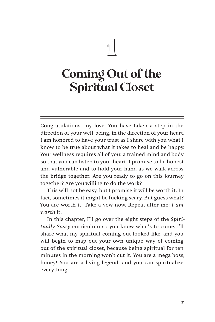# $\sqrt{2}$

# Coming Out of the Spiritual Closet

Congratulations, my love. You have taken a step in the direction of your well-being, in the direction of your heart. I am honored to have your trust as I share with you what I know to be true about what it takes to heal and be happy. Your wellness requires all of you: a trained mind and body so that you can listen to your heart. I promise to be honest and vulnerable and to hold your hand as we walk across the bridge together. Are you ready to go on this journey together? Are you willing to do the work?

This will not be easy, but I promise it will be worth it. In fact, sometimes it might be fucking scary. But guess what? You are worth it. Take a vow now. Repeat after me: *I am worth it*.

In this chapter, I'll go over the eight steps of the *Spiritually Sassy* curriculum so you know what's to come. I'll share what my spiritual coming out looked like, and you will begin to map out your own unique way of coming out of the spiritual closet, because being spiritual for ten minutes in the morning won't cut it. You are a mega boss, honey! You are a living legend, and you can spiritualize everything.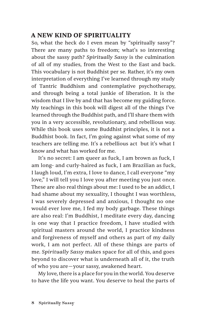#### **A NEW KIND OF SPIRITUALITY**

So, what the heck do I even mean by "spiritually sassy"? There are many paths to freedom; what's so interesting about the sassy path? *Spiritually Sassy* is the culmination of all of my studies, from the West to the East and back. This vocabulary is not Buddhist per se. Rather, it's my own interpretation of everything I've learned through my study of Tantric Buddhism and contemplative psychotherapy, and through being a total junkie of liberation. It is the wisdom that I live by and that has become my guiding force. My teachings in this book will digest all of the things I've learned through the Buddhist path, and I'll share them with you in a very accessible, revolutionary, and rebellious way. While this book uses some Buddhist principles, it is not a Buddhist book. In fact, I'm going against what some of my teachers are telling me. It's a rebellious act but it's what I know and what has worked for me.

It's no secret: I am queer as fuck, I am brown as fuck, I am long- and curly-haired as fuck, I am Brazilian as fuck, I laugh loud, I'm extra, I love to dance, I call everyone "my love," I will tell you I love you after meeting you just once. These are also real things about me: I used to be an addict, I had shame about my sexuality, I thought I was worthless, I was severely depressed and anxious, I thought no one would ever love me, I fed my body garbage. These things are also real: I'm Buddhist, I meditate every day, dancing is one way that I practice freedom, I have studied with spiritual masters around the world, I practice kindness and forgiveness of myself and others as part of my daily work, I am not perfect. All of these things are parts of me. *Spiritually Sassy* makes space for all of this, and goes beyond to discover what is underneath all of it, the truth of who you are—your sassy, awakened heart.

My love, there is a place for you in the world. You deserve to have the life you want. You deserve to heal the parts of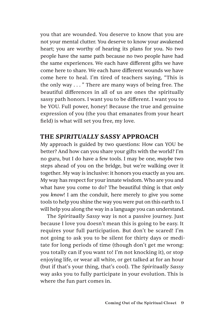you that are wounded. You deserve to know that you are not your mental clutter. You deserve to know your awakened heart; you are worthy of hearing its plans for you. No two people have the same path because no two people have had the same experiences. We each have diferent gifts we have come here to share. We each have diferent wounds we have come here to heal. I'm tired of teachers saying, "This is the only way . . . " There are many ways of being free. The beautiful diferences in all of us are ones the spiritually sassy path honors. I want you to be diferent. I want you to be YOU. Full power, honey! Because the true and genuine expression of you (the you that emanates from your heart field) is what will set you free, my love.

#### **THE** *SPIRITUALLY SASSY* **APPROACH**

My approach is guided by two questions: How can YOU be better? And how can you share your gifts with the world? I'm no guru, but I do have a few tools. I may be one, *maybe* two steps ahead of you on the bridge, but we're walking over it together. My way is inclusive: it honors you exactly as you are. My way has respect for your innate wisdom. Who are you and what have you come to do? The beautiful thing is that *only you know*! I am the conduit, here merely to give you some tools to help you shine the way you were put on this earth to. I will help you along the way in a language you can understand.

The *Spiritually Sassy* way is not a passive journey. Just because I love you doesn't mean this is going to be easy. It requires your full participation. But don't be scared! I'm not going to ask you to be silent for thirty days or meditate for long periods of time (though don't get me wrong: you totally can if you want to! I'm not knocking it), or stop enjoying life, or wear all white, or get talked at for an hour (but if that's your thing, that's cool). The *Spiritually Sassy* way asks you to fully participate in your evolution. This is where the fun part comes in.